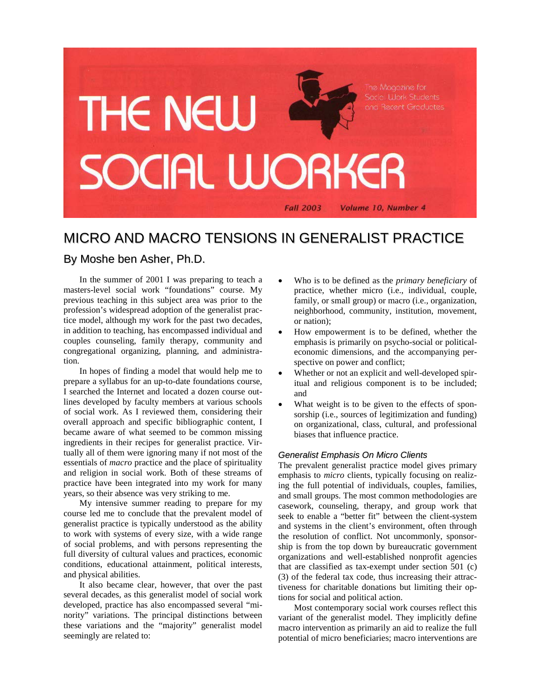

# MICRO AND MACRO TENSIONS IN GENERALIST PRACTICE

## By Moshe ben Asher, Ph.D.

In the summer of 2001 I was preparing to teach a masters-level social work "foundations" course. My previous teaching in this subject area was prior to the profession's widespread adoption of the generalist practice model, although my work for the past two decades, in addition to teaching, has encompassed individual and couples counseling, family therapy, community and congregational organizing, planning, and administration.

In hopes of finding a model that would help me to prepare a syllabus for an up-to-date foundations course, I searched the Internet and located a dozen course outlines developed by faculty members at various schools of social work. As I reviewed them, considering their overall approach and specific bibliographic content, I became aware of what seemed to be common missing ingredients in their recipes for generalist practice. Virtually all of them were ignoring many if not most of the essentials of *macro* practice and the place of spirituality and religion in social work. Both of these streams of practice have been integrated into my work for many years, so their absence was very striking to me.

My intensive summer reading to prepare for my course led me to conclude that the prevalent model of generalist practice is typically understood as the ability to work with systems of every size, with a wide range of social problems, and with persons representing the full diversity of cultural values and practices, economic conditions, educational attainment, political interests, and physical abilities.

It also became clear, however, that over the past several decades, as this generalist model of social work developed, practice has also encompassed several "minority" variations. The principal distinctions between these variations and the "majority" generalist model seemingly are related to:

- Who is to be defined as the *primary beneficiary* of practice, whether micro (i.e., individual, couple, family, or small group) or macro (i.e., organization, neighborhood, community, institution, movement, or nation);
- How empowerment is to be defined, whether the emphasis is primarily on psycho-social or politicaleconomic dimensions, and the accompanying perspective on power and conflict;
- Whether or not an explicit and well-developed spiritual and religious component is to be included; and
- What weight is to be given to the effects of sponsorship (i.e., sources of legitimization and funding) on organizational, class, cultural, and professional biases that influence practice.

#### *Generalist Emphasis On Micro Clients*

The prevalent generalist practice model gives primary emphasis to *micro* clients, typically focusing on realizing the full potential of individuals, couples, families, and small groups. The most common methodologies are casework, counseling, therapy, and group work that seek to enable a "better fit" between the client-system and systems in the client's environment, often through the resolution of conflict. Not uncommonly, sponsorship is from the top down by bureaucratic government organizations and well-established nonprofit agencies that are classified as tax-exempt under section 501 (c) (3) of the federal tax code, thus increasing their attractiveness for charitable donations but limiting their options for social and political action.

Most contemporary social work courses reflect this variant of the generalist model. They implicitly define macro intervention as primarily an aid to realize the full potential of micro beneficiaries; macro interventions are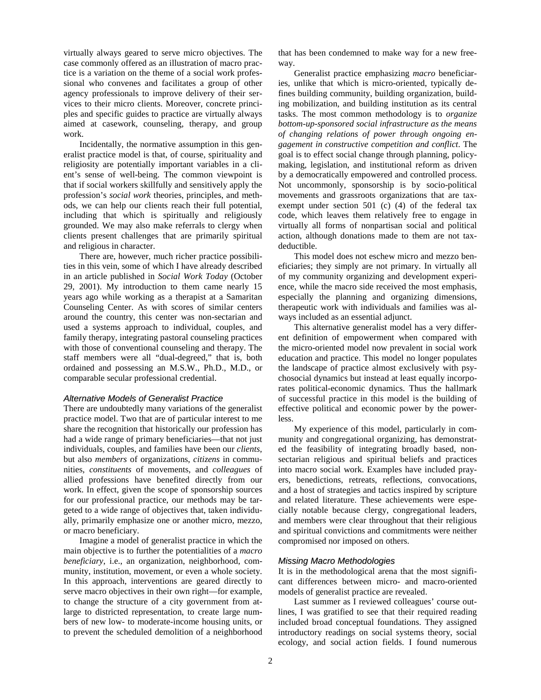virtually always geared to serve micro objectives. The case commonly offered as an illustration of macro practice is a variation on the theme of a social work professional who convenes and facilitates a group of other agency professionals to improve delivery of their services to their micro clients. Moreover, concrete principles and specific guides to practice are virtually always aimed at casework, counseling, therapy, and group work.

Incidentally, the normative assumption in this generalist practice model is that, of course, spirituality and religiosity are potentially important variables in a client's sense of well-being. The common viewpoint is that if social workers skillfully and sensitively apply the profession's *social work* theories, principles, and methods, we can help our clients reach their full potential, including that which is spiritually and religiously grounded. We may also make referrals to clergy when clients present challenges that are primarily spiritual and religious in character.

There are, however, much richer practice possibilities in this vein, some of which I have already described in an article published in *Social Work Today* (October 29, 2001). My introduction to them came nearly 15 years ago while working as a therapist at a Samaritan Counseling Center. As with scores of similar centers around the country, this center was non-sectarian and used a systems approach to individual, couples, and family therapy, integrating pastoral counseling practices with those of conventional counseling and therapy. The staff members were all "dual-degreed," that is, both ordained and possessing an M.S.W., Ph.D., M.D., or comparable secular professional credential.

#### *Alternative Models of Generalist Practice*

There are undoubtedly many variations of the generalist practice model. Two that are of particular interest to me share the recognition that historically our profession has had a wide range of primary beneficiaries—that not just individuals, couples, and families have been our *clients*, but also *members* of organizations, *citizens* in communities, *constituents* of movements, and *colleagues* of allied professions have benefited directly from our work. In effect, given the scope of sponsorship sources for our professional practice, our methods may be targeted to a wide range of objectives that, taken individually, primarily emphasize one or another micro, mezzo, or macro beneficiary.

Imagine a model of generalist practice in which the main objective is to further the potentialities of a *macro beneficiary*, i.e., an organization, neighborhood, community, institution, movement, or even a whole society. In this approach, interventions are geared directly to serve macro objectives in their own right—for example, to change the structure of a city government from atlarge to districted representation, to create large numbers of new low- to moderate-income housing units, or to prevent the scheduled demolition of a neighborhood that has been condemned to make way for a new freeway.

Generalist practice emphasizing *macro* beneficiaries, unlike that which is micro-oriented, typically defines building community, building organization, building mobilization, and building institution as its central tasks. The most common methodology is to *organize bottom-up-sponsored social infrastructure as the means of changing relations of power through ongoing engagement in constructive competition and conflict*. The goal is to effect social change through planning, policymaking, legislation, and institutional reform as driven by a democratically empowered and controlled process. Not uncommonly, sponsorship is by socio-political movements and grassroots organizations that are taxexempt under section 501 (c) (4) of the federal tax code, which leaves them relatively free to engage in virtually all forms of nonpartisan social and political action, although donations made to them are not taxdeductible.

This model does not eschew micro and mezzo beneficiaries; they simply are not primary. In virtually all of my community organizing and development experience, while the macro side received the most emphasis, especially the planning and organizing dimensions, therapeutic work with individuals and families was always included as an essential adjunct.

This alternative generalist model has a very different definition of empowerment when compared with the micro-oriented model now prevalent in social work education and practice. This model no longer populates the landscape of practice almost exclusively with psychosocial dynamics but instead at least equally incorporates political-economic dynamics. Thus the hallmark of successful practice in this model is the building of effective political and economic power by the powerless.

My experience of this model, particularly in community and congregational organizing, has demonstrated the feasibility of integrating broadly based, nonsectarian religious and spiritual beliefs and practices into macro social work. Examples have included prayers, benedictions, retreats, reflections, convocations, and a host of strategies and tactics inspired by scripture and related literature. These achievements were especially notable because clergy, congregational leaders, and members were clear throughout that their religious and spiritual convictions and commitments were neither compromised nor imposed on others.

#### *Missing Macro Methodologies*

It is in the methodological arena that the most significant differences between micro- and macro-oriented models of generalist practice are revealed.

Last summer as I reviewed colleagues' course outlines, I was gratified to see that their required reading included broad conceptual foundations. They assigned introductory readings on social systems theory, social ecology, and social action fields. I found numerous